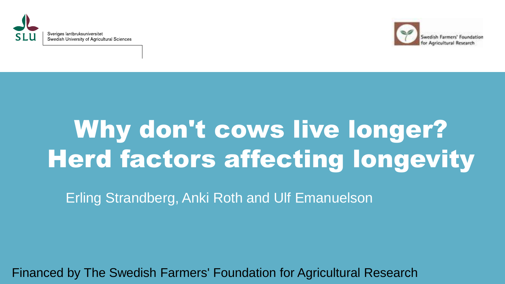



## Why don't cows live longer? Herd factors affecting longevity

Erling Strandberg, Anki Roth and Ulf Emanuelson

Financed by The Swedish Farmers' Foundation for Agricultural Research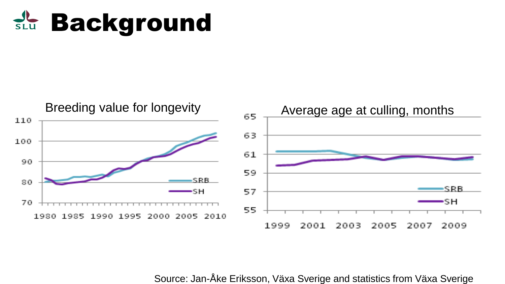#### **Background**



Source: Jan-Åke Eriksson, Växa Sverige and statistics from Växa Sverige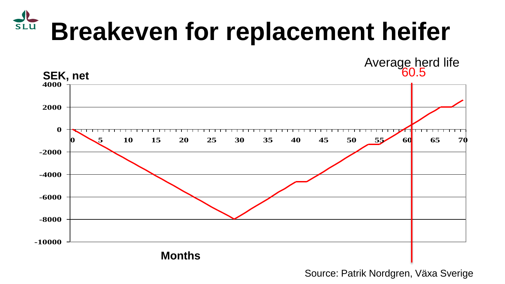#### SLU **Breakeven for replacement heifer**

60.5 Average herd life



Source: Patrik Nordgren, Växa Sverige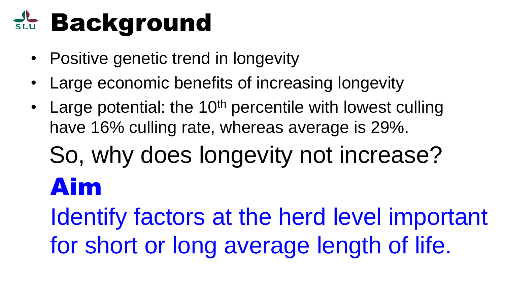## **Background**

- Positive genetic trend in longevity
- Large economic benefits of increasing longevity
- Large potential: the  $10<sup>th</sup>$  percentile with lowest culling have 16% culling rate, whereas average is 29%.

## So, why does longevity not increase? Aim

Identify factors at the herd level important for short or long average length of life.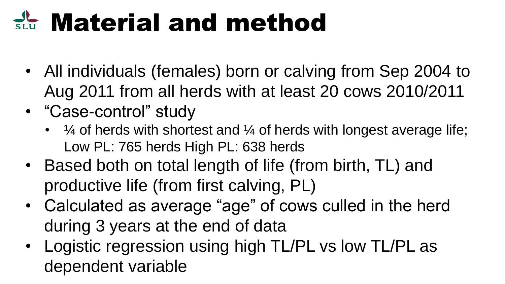## **RE Material and method**

- All individuals (females) born or calving from Sep 2004 to Aug 2011 from all herds with at least 20 cows 2010/2011
- "Case-control" study
	- $\frac{1}{4}$  of herds with shortest and  $\frac{1}{4}$  of herds with longest average life; Low PL: 765 herds High PL: 638 herds
- Based both on total length of life (from birth, TL) and productive life (from first calving, PL)
- Calculated as average "age" of cows culled in the herd during 3 years at the end of data
- Logistic regression using high TL/PL vs low TL/PL as dependent variable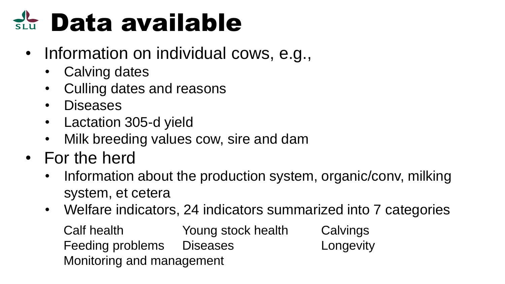## **SLU Data available**

- Information on individual cows, e.g.,
	- Calving dates
	- Culling dates and reasons
	- Diseases
	- Lactation 305-d yield
	- Milk breeding values cow, sire and dam
- For the herd
	- Information about the production system, organic/conv, milking system, et cetera
	- Welfare indicators, 24 indicators summarized into 7 categories Calf health Young stock health Calvings Feeding problems Diseases Longevity Monitoring and management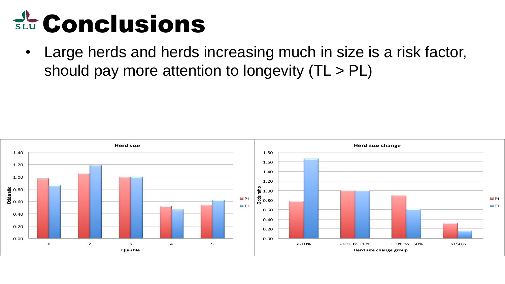## **SLU** Conclusions

• Large herds and herds increasing much in size is a risk factor, should pay more attention to longevity (TL > PL)

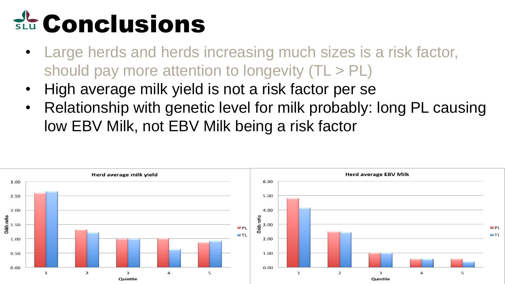- Large herds and herds increasing much sizes is a risk factor, should pay more attention to longevity (TL > PL)
- High average milk yield is not a risk factor per se
- Relationship with genetic level for milk probably: long PL causing low EBV Milk, not EBV Milk being a risk factor

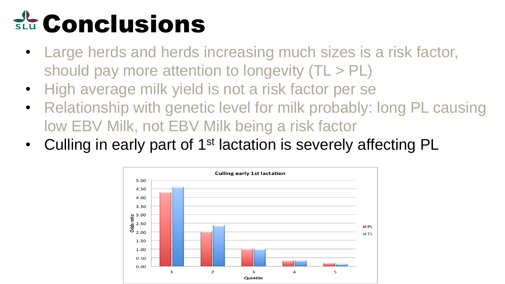- Large herds and herds increasing much sizes is a risk factor, should pay more attention to longevity (TL > PL)
- High average milk yield is not a risk factor per se
- Relationship with genetic level for milk probably: long PL causing low EBV Milk, not EBV Milk being a risk factor
- Culling in early part of 1<sup>st</sup> lactation is severely affecting PL

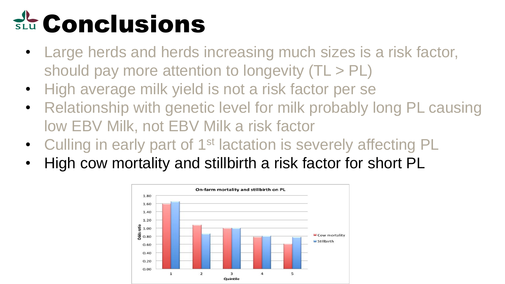- Large herds and herds increasing much sizes is a risk factor, should pay more attention to longevity (TL > PL)
- High average milk yield is not a risk factor per se
- Relationship with genetic level for milk probably long PL causing low EBV Milk, not EBV Milk a risk factor
- Culling in early part of 1<sup>st</sup> lactation is severely affecting PL
- High cow mortality and stillbirth a risk factor for short PL

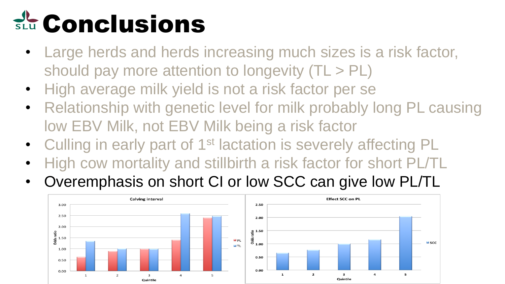- Large herds and herds increasing much sizes is a risk factor, should pay more attention to longevity (TL > PL)
- High average milk yield is not a risk factor per se
- Relationship with genetic level for milk probably long PL causing low EBV Milk, not EBV Milk being a risk factor
- Culling in early part of 1<sup>st</sup> lactation is severely affecting PL
- High cow mortality and stillbirth a risk factor for short PL/TL
- Overemphasis on short CI or low SCC can give low PL/TL

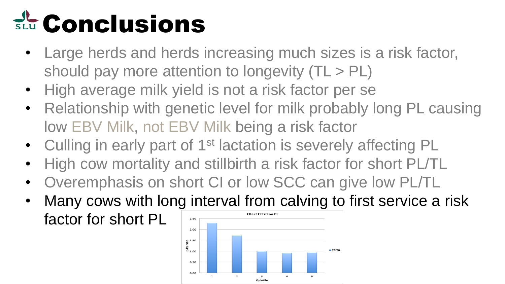- Large herds and herds increasing much sizes is a risk factor, should pay more attention to longevity (TL > PL)
- High average milk yield is not a risk factor per se
- Relationship with genetic level for milk probably long PL causing low EBV Milk, not EBV Milk being a risk factor
- Culling in early part of 1<sup>st</sup> lactation is severely affecting PL
- High cow mortality and stillbirth a risk factor for short PL/TL
- Overemphasis on short CI or low SCC can give low PL/TL
- Many cows with long interval from calving to first service a risk factor for short PL2.50